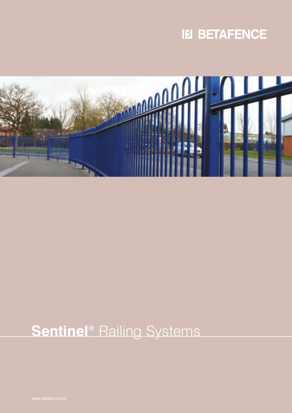



# **Sentinel®** Railing Systems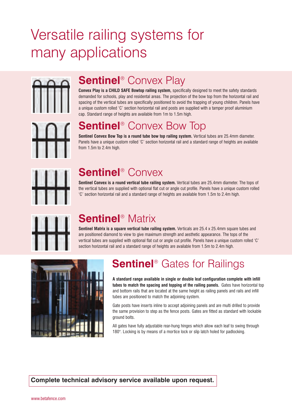# Versatile railing systems for many applications



### **Sentinel**® Convex Play

**Convex Play is a CHILD SAFE Bowtop railing system,** specifically designed to meet the safety standards demanded for schools, play and residental areas. The projection of the bow top from the horizontal rail and spacing of the vertical tubes are specifically positioned to avoid the trapping of young children. Panels have a unique custom rolled 'C' section horizontal rail and posts are supplied with a tamper proof aluminium cap. Standard range of heights are available from 1m to 1.5m high.

## **Sentinel**® Convex Bow Top

**Sentinel Convex Bow Top is a round tube bow top railing system.** Vertical tubes are 25.4mm diameter. Panels have a unique custom rolled 'C' section horizontal rail and a standard range of heights are available from 1.5m to 2.4m high.



### **Sentinel**® Convex

**Sentinel Convex is a round vertical tube railing system.** Vertical tubes are 25.4mm diameter. The tops of the vertical tubes are supplied with optional flat cut or angle cut profile. Panels have a unique custom rolled 'C' section horizontal rail and a standard range of heights are available from 1.5m to 2.4m high.



## **Sentinel**® Matrix

**Sentinel Matrix is a square vertical tube railing system.** Verticals are 25.4 x 25.4mm square tubes and are positioned diamond to view to give maximum strength and aesthetic appearance. The tops of the vertical tubes are supplied with optional flat cut or angle cut profile. Panels have a unique custom rolled 'C' section horizontal rail and a standard range of heights are available from 1.5m to 2.4m high.



## **Sentinel**® Gates for Railings

**A standard range available in single or double leaf configuration complete with infill tubes to match the spacing and topping of the railing panels.** Gates have horizontal top and bottom rails that are located at the same height as railing panels and rails and infill tubes are positioned to match the adjoining system.

Gate posts have inserts inline to accept adjoining panels and are multi drilled to provide the same provision to step as the fence posts. Gates are fitted as standard with lockable ground bolts.

All gates have fully adjustable rear-hung hinges which allow each leaf to swing through 180°. Locking is by means of a mortice lock or slip latch holed for padlocking.

**Complete technical advisory service available upon request.**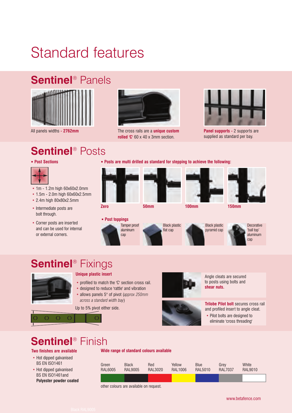# Standard features

### **Sentinel**® Panels



All panels widths **- 2762mm**

## **Sentinel**® Posts



- 1m 1.2m high 60x60x2.0mm
- 1.5m 2.0m high 60x60x2.5mm
- 2.4m high 80x80x2.5mm
- Intermediate posts are **2ero 2 Zero 50mm 100mm 150mm** bolt through.
- Corner posts are inserted and can be used for internal or external corners.



The cross rails are a **unique custom rolled 'C'** 60 x 40 x 3mm section.



**Panel supports -** 2 supports are supplied as standard per bay.

**Post Sections Posts are multi drilled as standard for stepping to achieve the following:**









**Decorative** 'ball top'

aluminum cap

## **Sentinel**® Fixings



 $\cap$ 

### **Unique plastic insert**

- profiled to match the 'C' section cross rail.
- designed to reduce 'rattle' and vibration
- allows panels 5° of pivot (*approx 250mm across a standard width bay*)

Up to 5% pivot either side.

 $\Omega$ 



Angle cleats are secured to posts using bolts and **shear nuts.**



• Pilot bolts are designed to eliminate 'cross threading'

### **Sentinel**® Finish

 $\Omega$ 

**Two finishes are available Wide range of standard colours available**

 $\overline{O}$ 

- Hot dipped galvanised BS EN ISO1461
- Hot dipped galvanised BS EN ISO1461and **Polyester powder coated**

| Green   | <b>Black</b>   | Red            | Yellow         | <b>Blue</b> | Grev           | White   |  |
|---------|----------------|----------------|----------------|-------------|----------------|---------|--|
| RAL6005 | <b>RAL9005</b> | <b>RAL3020</b> | <b>RAL1006</b> | RAL5010     | <b>RAL7037</b> | RAL9010 |  |
|         |                |                |                |             |                |         |  |

**Post toppings**





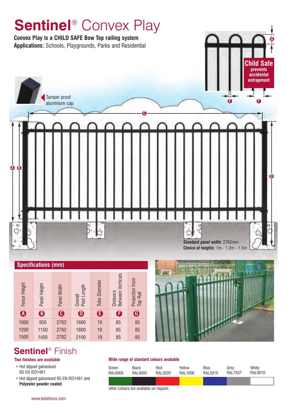

| <b>Specifications (mm)</b> |              |                       |                        |                      |                                             |                             |  |  |  |
|----------------------------|--------------|-----------------------|------------------------|----------------------|---------------------------------------------|-----------------------------|--|--|--|
| Fence Height               | Panel Height | Panel Width           | Post Length<br>Overall | <b>Tube Diameter</b> | <b>Between Verticals</b><br><b>Distance</b> | Projection from<br>Top Rail |  |  |  |
| $\boldsymbol{0}$           | $\mathbf{G}$ | $\boldsymbol{\Theta}$ | 0                      | Ġ                    | Ġ                                           | $\boldsymbol{\Theta}$       |  |  |  |
| 1000                       | 950          | 2762                  | 1600                   | 19                   | 85                                          | 85                          |  |  |  |
| 1200                       | 1150         | 2762                  | 1800                   | 19                   | 85                                          | 85                          |  |  |  |
| 1500                       | 1450         | 2762                  | 2100                   | 19                   | 85                                          | 85                          |  |  |  |



- Hot dipped galvanised BS EN ISO1461
- Hot dipped galvanised BS EN ISO1461 and **Polyester powder coated**

### **Two finishes are available Wide range of standard colours available**

| Green   | <b>Black</b>   | Red     | Yellow  | Blue    | Grev           | White   |
|---------|----------------|---------|---------|---------|----------------|---------|
| RAL6005 | <b>RAL9005</b> | RAL3020 | RAL1006 | RAL5010 | <b>RAL7037</b> | RAL9010 |
|         |                |         |         |         |                |         |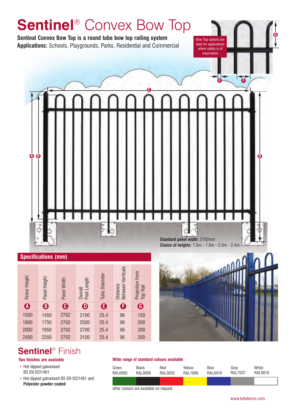

|  | <b>Specifications (mm)</b> |
|--|----------------------------|





- Hot dipped galvanised BS EN ISO1461
- Hot dipped galvanised BS EN ISO1461 and **Polyester powder coated**

### **Two finishes are available Wide range of standard colours available**

| Green   | <b>Black</b> | Red     | Yellow  | Blue    | Grev           | White   |
|---------|--------------|---------|---------|---------|----------------|---------|
| RAL6005 | RAL9005      | RAL3020 | RAL1006 | RAL5010 | <b>RAL7037</b> | RAL9010 |
|         |              |         |         |         |                |         |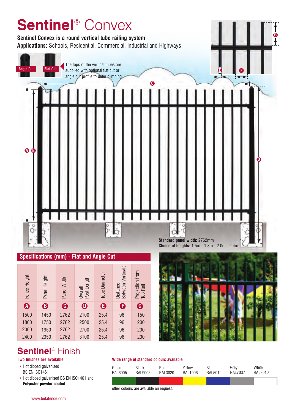

2762 2762 2762

**A B C D E FG**

2100 2500 2700 25.4 25.4 25.4 25.4

1450 1750 1950

1500 1800 2000

- Hot dipped galvanised BS EN ISO1461
- Hot dipped galvanised BS EN ISO1461 and **Polyester powder coated**



### **Two finishes are available Wide range of standard colours available**

| Green   | <b>Black</b> | Red     | Yellow  | Blue    | Grev           | White   |
|---------|--------------|---------|---------|---------|----------------|---------|
| RAL6005 | RAL9005      | RAL3020 | RAL1006 | RAL5010 | <b>RAL7037</b> | RAL9010 |
|         |              |         |         |         |                |         |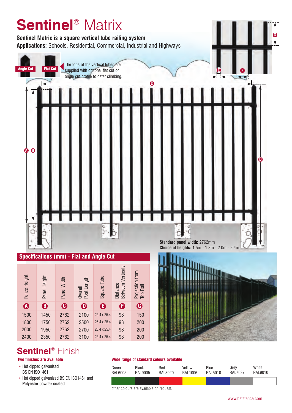

- Hot dipped galvanised
- BS EN ISO1461
- Hot dipped galvanised BS EN ISO1461 and **Polyester powder coated**

### **Two finishes are available Wide range of standard colours available**

| Green   | Black   | Red     | Yellow  | Blue     | Grev           | White   |
|---------|---------|---------|---------|----------|----------------|---------|
| RAL6005 | RAL9005 | RAL3020 | RAL1006 | RAI 5010 | <b>RAL7037</b> | RAL9010 |
|         |         |         |         |          |                |         |